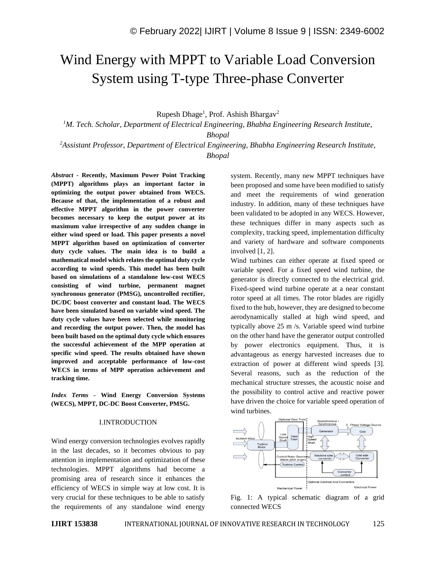# Wind Energy with MPPT to Variable Load Conversion System using T-type Three-phase Converter

Rupesh Dhage<sup>1</sup>, Prof. Ashish Bhargav<sup>2</sup>

*<sup>1</sup>M. Tech. Scholar, Department of Electrical Engineering, Bhabha Engineering Research Institute,* 

*Bhopal*

*<sup>2</sup>Assistant Professor, Department of Electrical Engineering, Bhabha Engineering Research Institute,* 

*Bhopal*

*Abstract -* **Recently, Maximum Power Point Tracking (MPPT) algorithms plays an important factor in optimizing the output power obtained from WECS. Because of that, the implementation of a robust and effective MPPT algorithm in the power converter becomes necessary to keep the output power at its maximum value irrespective of any sudden change in either wind speed or load. This paper presents a novel MPPT algorithm based on optimization of converter duty cycle values. The main idea is to build a mathematical model which relates the optimal duty cycle according to wind speeds. This model has been built based on simulations of a standalone low-cost WECS consisting of wind turbine, permanent magnet synchronous generator (PMSG), uncontrolled rectifier, DC/DC boost converter and constant load. The WECS have been simulated based on variable wind speed. The duty cycle values have been selected while monitoring and recording the output power. Then, the model has been built based on the optimal duty cycle which ensures the successful achievement of the MPP operation at specific wind speed. The results obtained have shown improved and acceptable performance of low-cost WECS in terms of MPP operation achievement and tracking time.**

*Index Terms -* **Wind Energy Conversion Systems (WECS), MPPT, DC-DC Boost Converter, PMSG.**

## I.INTRODUCTION

Wind energy conversion technologies evolves rapidly in the last decades, so it becomes obvious to pay attention in implementation and optimization of these technologies. MPPT algorithms had become a promising area of research since it enhances the efficiency of WECS in simple way at low cost. It is very crucial for these techniques to be able to satisfy the requirements of any standalone wind energy system. Recently, many new MPPT techniques have been proposed and some have been modified to satisfy and meet the requirements of wind generation industry. In addition, many of these techniques have been validated to be adopted in any WECS. However, these techniques differ in many aspects such as complexity, tracking speed, implementation difficulty and variety of hardware and software components involved [1, 2].

Wind turbines can either operate at fixed speed or variable speed. For a fixed speed wind turbine, the generator is directly connected to the electrical grid. Fixed-speed wind turbine operate at a near constant rotor speed at all times. The rotor blades are rigidly fixed to the hub, however, they are designed to become aerodynamically stalled at high wind speed, and typically above 25 m /s. Variable speed wind turbine on the other hand have the generator output controlled by power electronics equipment. Thus, it is advantageous as energy harvested increases due to extraction of power at different wind speeds [3]. Several reasons, such as the reduction of the mechanical structure stresses, the acoustic noise and the possibility to control active and reactive power have driven the choice for variable speed operation of wind turbines.



Fig. 1: A typical schematic diagram of a grid connected WECS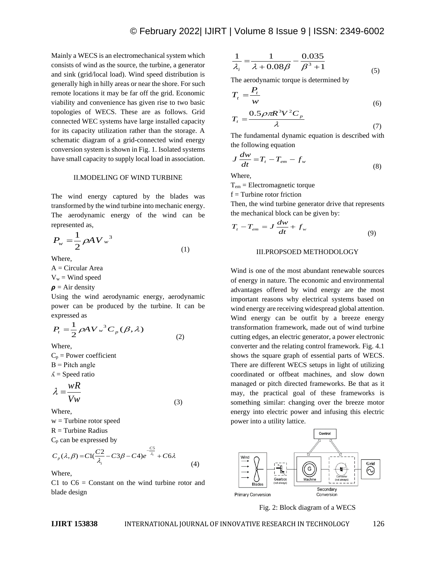Mainly a WECS is an electromechanical system which consists of wind as the source, the turbine, a generator and sink (grid/local load). Wind speed distribution is generally high in hilly areas or near the shore. For such remote locations it may be far off the grid. Economic viability and convenience has given rise to two basic topologies of WECS. These are as follows. Grid connected WEC systems have large installed capacity for its capacity utilization rather than the storage. A schematic diagram of a grid-connected wind energy conversion system is shown in Fig. 1. Isolated systems have small capacity to supply local load in association.

## II.MODELING OF WIND TURBINE

The wind energy captured by the blades was transformed by the wind turbine into mechanic energy. The aerodynamic energy of the wind can be represented as,

$$
P_w = \frac{1}{2} \rho A V_w^3 \tag{1}
$$

Where,

A = Circular Area

 $V_w =$  Wind speed

 $\rho$  = Air density

Using the wind aerodynamic energy, aerodynamic power can be produced by the turbine. It can be expressed as

$$
P_t = \frac{1}{2} \rho A V_w^3 C_p(\beta, \lambda)
$$
 (2)

Where,

 $C_p$  = Power coefficient  $B =$ Pitch angle  $\Lambda$  = Speed ratio

$$
\lambda = \frac{wR}{Vw} \tag{3}
$$

Where,

w = Turbine rotor speed

 $R =$  Turbine Radius

 $C_p$  can be expressed by

$$
C_p(\lambda, \beta) = C1(\frac{C2}{\lambda_i} - C3\beta - C4)e^{-\frac{CS}{\lambda_i}} + C6\lambda
$$
\n(4)

Where,

C1 to  $C6 =$  Constant on the wind turbine rotor and blade design

$$
\frac{1}{\lambda_i} = \frac{1}{\lambda + 0.08\beta} - \frac{0.035}{\beta^3 + 1}
$$
 (5)

The aerodynamic torque is determined by

$$
T_t = \frac{P_t}{w}
$$
\n
$$
Q_t = \sum_{i=1}^{N} P_i^3 V_i^2 C_t
$$
\n(6)

$$
T_t = \frac{0.5 \rho \pi R^3 V^2 C_p}{\lambda} \tag{7}
$$

The fundamental dynamic equation is described with the following equation

$$
J\frac{dw}{dt} = T_t - T_{em} - f_w
$$
\n(8)

Where,

Tem = Electromagnetic torque

 $f =$ Turbine rotor friction

Then, the wind turbine generator drive that represents the mechanical block can be given by:

$$
T_t - T_{em} = J \frac{dw}{dt} + f_w \tag{9}
$$

## III.PROPSOED METHODOLOGY

Wind is one of the most abundant renewable sources of energy in nature. The economic and environmental advantages offered by wind energy are the most important reasons why electrical systems based on wind energy are receiving widespread global attention. Wind energy can be outfit by a breeze energy transformation framework, made out of wind turbine cutting edges, an electric generator, a power electronic converter and the relating control framework. Fig. 4.1 shows the square graph of essential parts of WECS. There are different WECS setups in light of utilizing coordinated or offbeat machines, and slow down managed or pitch directed frameworks. Be that as it may, the practical goal of these frameworks is something similar: changing over the breeze motor energy into electric power and infusing this electric power into a utility lattice.



Fig. 2: Block diagram of a WECS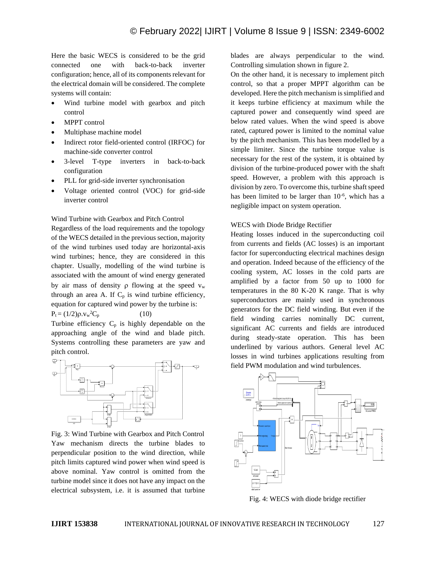Here the basic WECS is considered to be the grid connected one with back-to-back inverter configuration; hence, all of its components relevant for the electrical domain will be considered. The complete systems will contain:

- Wind turbine model with gearbox and pitch control
- MPPT control
- Multiphase machine model
- Indirect rotor field-oriented control (IRFOC) for machine-side converter control
- 3-level T-type inverters in back-to-back configuration
- PLL for grid-side inverter synchronisation
- Voltage oriented control (VOC) for grid-side inverter control

Wind Turbine with Gearbox and Pitch Control

Regardless of the load requirements and the topology of the WECS detailed in the previous section, majority of the wind turbines used today are horizontal-axis wind turbines; hence, they are considered in this chapter. Usually, modelling of the wind turbine is associated with the amount of wind energy generated by air mass of density  $\rho$  flowing at the speed  $v_w$ through an area A. If  $C_p$  is wind turbine efficiency, equation for captured wind power by the turbine is:  $P_t = (1/2)\rho.v_w^2C_p$  $(10)$ 

Turbine efficiency  $C_p$  is highly dependable on the approaching angle of the wind and blade pitch. Systems controlling these parameters are yaw and pitch control.



Fig. 3: Wind Turbine with Gearbox and Pitch Control Yaw mechanism directs the turbine blades to perpendicular position to the wind direction, while pitch limits captured wind power when wind speed is above nominal. Yaw control is omitted from the turbine model since it does not have any impact on the electrical subsystem, i.e. it is assumed that turbine

blades are always perpendicular to the wind. Controlling simulation shown in figure 2.

On the other hand, it is necessary to implement pitch control, so that a proper MPPT algorithm can be developed. Here the pitch mechanism is simplified and it keeps turbine efficiency at maximum while the captured power and consequently wind speed are below rated values. When the wind speed is above rated, captured power is limited to the nominal value by the pitch mechanism. This has been modelled by a simple limiter. Since the turbine torque value is necessary for the rest of the system, it is obtained by division of the turbine-produced power with the shaft speed. However, a problem with this approach is division by zero. To overcome this, turbine shaft speed has been limited to be larger than  $10^{-6}$ , which has a negligible impact on system operation.

## WECS with Diode Bridge Rectifier

Heating losses induced in the superconducting coil from currents and fields (AC losses) is an important factor for superconducting electrical machines design and operation. Indeed because of the efficiency of the cooling system, AC losses in the cold parts are amplified by a factor from 50 up to 1000 for temperatures in the 80 K-20 K range. That is why superconductors are mainly used in synchronous generators for the DC field winding. But even if the field winding carries nominally DC current, significant AC currents and fields are introduced during steady-state operation. This has been underlined by various authors. General level AC losses in wind turbines applications resulting from field PWM modulation and wind turbulences.



Fig. 4: WECS with diode bridge rectifier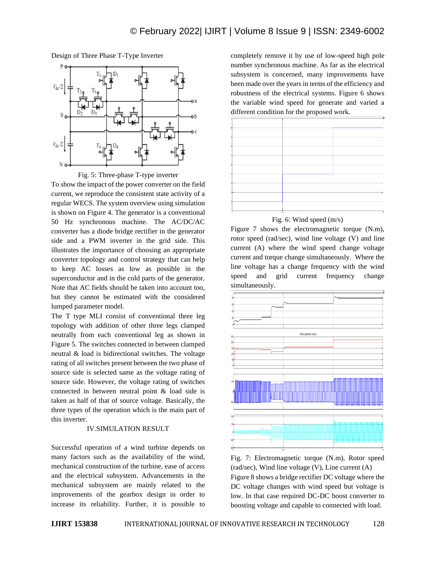

Design of Three Phase T-Type Inverter

Fig. 5: Three-phase T-type inverter To show the impact of the power converter on the field current, we reproduce the consistent state activity of a regular WECS. The system overview using simulation is shown on Figure 4. The generator is a conventional 50 Hz synchronous machine. The AC/DC/AC converter has a diode bridge rectifier in the generator side and a PWM inverter in the grid side. This illustrates the importance of choosing an appropriate converter topology and control strategy that can help to keep AC losses as low as possible in the superconductor and in the cold parts of the generator. Note that AC fields should be taken into account too, but they cannot be estimated with the considered lumped parameter model.

The T type MLI consist of conventional three leg topology with addition of other three legs clamped neutrally from each conventional leg as shown in Figure 5. The switches connected in between clamped neutral & load is bidirectional switches. The voltage rating of all switches present between the two phase of source side is selected same as the voltage rating of source side. However, the voltage rating of switches connected in between neutral point & load side is taken as half of that of source voltage. Basically, the three types of the operation which is the main part of this inverter.

## IV.SIMULATION RESULT

Successful operation of a wind turbine depends on many factors such as the availability of the wind, mechanical construction of the turbine, ease of access and the electrical subsystem. Advancements in the mechanical subsystem are mainly related to the improvements of the gearbox design in order to increase its reliability. Further, it is possible to completely remove it by use of low-speed high pole number synchronous machine. As far as the electrical subsystem is concerned, many improvements have been made over the years in terms of the efficiency and robustness of the electrical systems. Figure 6 shows the variable wind speed for generate and varied a different condition for the proposed work.



## Fig. 6: Wind speed (m/s)

Figure 7 shows the electromagnetic torque (N.m), rotor speed (rad/sec), wind line voltage (V) and line current (A) where the wind speed change voltage current and torque change simultaneously. Where the line voltage has a change frequency with the wind speed and grid current frequency change simultaneously.



Fig. 7: Electromagnetic torque (N.m), Rotor speed (rad/sec), Wind line voltage (V), Line current (A) Figure 8 shows a bridge rectifier DC voltage where the DC voltage changes with wind speed but voltage is low. In that case required DC-DC boost converter to boosting voltage and capable to connected with load.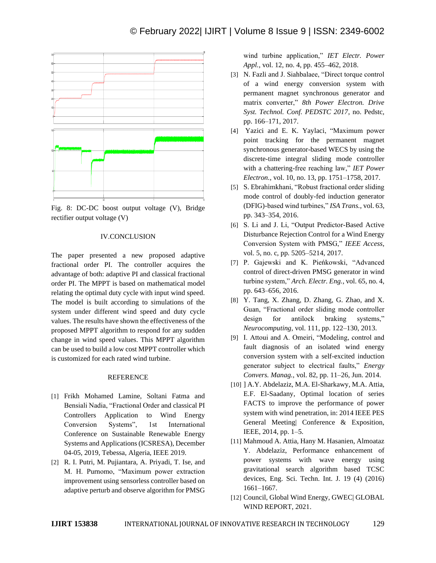

Fig. 8: DC-DC boost output voltage (V), Bridge rectifier output voltage (V)

## IV.CONCLUSION

The paper presented a new proposed adaptive fractional order PI. The controller acquires the advantage of both: adaptive PI and classical fractional order PI. The MPPT is based on mathematical model relating the optimal duty cycle with input wind speed. The model is built according to simulations of the system under different wind speed and duty cycle values. The results have shown the effectiveness of the proposed MPPT algorithm to respond for any sudden change in wind speed values. This MPPT algorithm can be used to build a low cost MPPT controller which is customized for each rated wind turbine.

#### **REFERENCE**

- [1] Frikh Mohamed Lamine, Soltani Fatma and Bensiali Nadia, "Fractional Order and classical PI Controllers Application to Wind Energy Conversion Systems", 1st International Conference on Sustainable Renewable Energy Systems and Applications (ICSRESA), December 04-05, 2019, Tebessa, Algeria, IEEE 2019.
- [2] R. I. Putri, M. Pujiantara, A. Priyadi, T. Ise, and M. H. Purnomo, "Maximum power extraction improvement using sensorless controller based on adaptive perturb and observe algorithm for PMSG

wind turbine application," *IET Electr. Power Appl.*, vol. 12, no. 4, pp. 455–462, 2018.

- [3] N. Fazli and J. Siahbalaee, "Direct torque control of a wind energy conversion system with permanent magnet synchronous generator and matrix converter," *8th Power Electron. Drive Syst. Technol. Conf. PEDSTC 2017*, no. Pedstc, pp. 166–171, 2017.
- [4] Yazici and E. K. Yaylaci, "Maximum power point tracking for the permanent magnet synchronous generator-based WECS by using the discrete-time integral sliding mode controller with a chattering-free reaching law," *IET Power Electron.*, vol. 10, no. 13, pp. 1751–1758, 2017.
- [5] S. Ebrahimkhani, "Robust fractional order sliding mode control of doubly-fed induction generator (DFIG)-based wind turbines," *ISA Trans.*, vol. 63, pp. 343–354, 2016.
- [6] S. Li and J. Li, "Output Predictor-Based Active Disturbance Rejection Control for a Wind Energy Conversion System with PMSG," *IEEE Access*, vol. 5, no. c, pp. 5205–5214, 2017.
- [7] P. Gajewski and K. Pieńkowski, "Advanced control of direct-driven PMSG generator in wind turbine system," *Arch. Electr. Eng.*, vol. 65, no. 4, pp. 643–656, 2016.
- [8] Y. Tang, X. Zhang, D. Zhang, G. Zhao, and X. Guan, "Fractional order sliding mode controller design for antilock braking systems," *Neurocomputing*, vol. 111, pp. 122–130, 2013.
- [9] I. Attoui and A. Omeiri, "Modeling, control and fault diagnosis of an isolated wind energy conversion system with a self-excited induction generator subject to electrical faults," *Energy Convers. Manag.*, vol. 82, pp. 11–26, Jun. 2014.
- [10] ] A.Y. Abdelaziz, M.A. El-Sharkawy, M.A. Attia, E.F. El-Saadany, Optimal location of series FACTS to improve the performance of power system with wind penetration, in: 2014 IEEE PES General Meeting| Conference & Exposition, IEEE, 2014, pp. 1–5.
- [11] Mahmoud A. Attia, Hany M. Hasanien, Almoataz Y. Abdelaziz, Performance enhancement of power systems with wave energy using gravitational search algorithm based TCSC devices, Eng. Sci. Techn. Int. J. 19 (4) (2016) 1661–1667.
- [12] Council, Global Wind Energy, GWEC GLOBAL WIND REPORT, 2021.